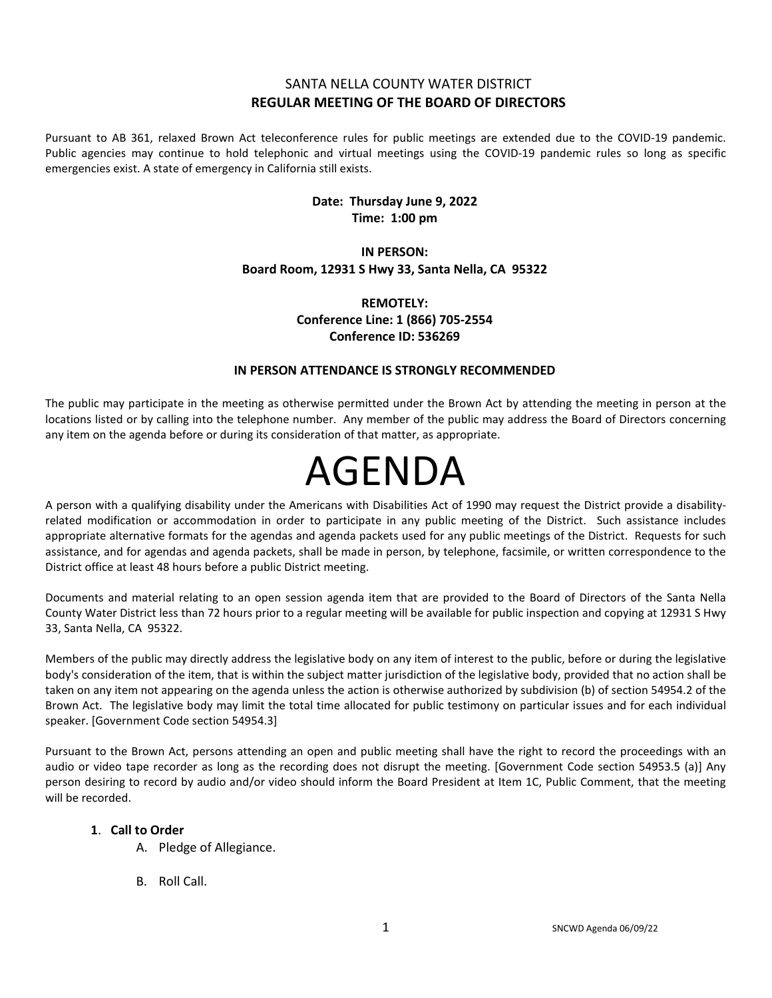# SANTA NELLA COUNTY WATER DISTRICT **REGULAR MEETING OF THE BOARD OF DIRECTORS**

Pursuant to AB 361, relaxed Brown Act teleconference rules for public meetings are extended due to the COVID-19 pandemic. Public agencies may continue to hold telephonic and virtual meetings using the COVID-19 pandemic rules so long as specific emergencies exist. A state of emergency in California still exists.

# **Date: Thursday June 9, 2022 Time: 1:00 pm**

## **IN PERSON: Board Room, 12931 S Hwy 33, Santa Nella, CA 95322**

# **REMOTELY: Conference Line: 1 (866) 705-2554 Conference ID: 536269**

## **IN PERSON ATTENDANCE IS STRONGLY RECOMMENDED**

The public may participate in the meeting as otherwise permitted under the Brown Act by attending the meeting in person at the locations listed or by calling into the telephone number. Any member of the public may address the Board of Directors concerning any item on the agenda before or during its consideration of that matter, as appropriate.

# AGENDA

A person with a qualifying disability under the Americans with Disabilities Act of 1990 may request the District provide a disabilityrelated modification or accommodation in order to participate in any public meeting of the District. Such assistance includes appropriate alternative formats for the agendas and agenda packets used for any public meetings of the District. Requests for such assistance, and for agendas and agenda packets, shall be made in person, by telephone, facsimile, or written correspondence to the District office at least 48 hours before a public District meeting.

Documents and material relating to an open session agenda item that are provided to the Board of Directors of the Santa Nella County Water District less than 72 hours prior to a regular meeting will be available for public inspection and copying at 12931 S Hwy 33, Santa Nella, CA 95322.

Members of the public may directly address the legislative body on any item of interest to the public, before or during the legislative body's consideration of the item, that is within the subject matter jurisdiction of the legislative body, provided that no action shall be taken on any item not appearing on the agenda unless the action is otherwise authorized by subdivision (b) of section 54954.2 of the Brown Act. The legislative body may limit the total time allocated for public testimony on particular issues and for each individual speaker. [Government Code section 54954.3]

Pursuant to the Brown Act, persons attending an open and public meeting shall have the right to record the proceedings with an audio or video tape recorder as long as the recording does not disrupt the meeting. [Government Code section 54953.5 (a)] Any person desiring to record by audio and/or video should inform the Board President at Item 1C, Public Comment, that the meeting will be recorded.

## **1**. **Call to Order**

- A. Pledge of Allegiance.
- B. Roll Call.